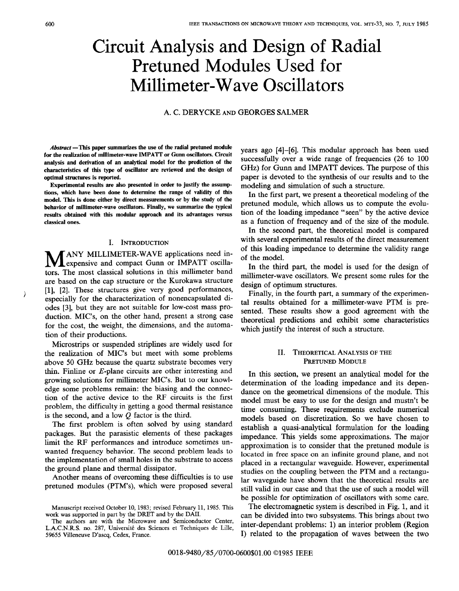# Circuit Analysis and Design of Radial Pretuned Modules Used for Millimeter-Wave Oscillators

## A. C. DERYCKE AND GEORGES SALMER

 $Abstract$  —This paper summarizes the use of the radial pretuned module for the realization of millimeter-wave IMPATT or Gunn oscillators. Circuit analysis and derivation of an analytical model for the prediction of the characteristics of this type of oscillator are reviewed and the design of optimal structures is reported.

Experimental results are also presented in order to justify the assumptions, which have been done to determine the range of validity of this model. This is done either by direct measurements or by the study of the behavior of millimeter-wave oscillators. Finally, we summarize the typical results obtained with this modular approach and its advantages versus classical ones.

## I. INTRODUCTION

MANY MILLIMETER-WAVE applications need in<br>tors. The most classical solutions in this millimeter band ANY MILLIMETER-WAVE applications need inexpensive and compact Gunn or IMPATT oscillaare based on the cap structure or the Kurokawa structure [1], [2]. These structures give very good performances, especially for the characterization of nonencapsulated diodes [3], but they are not suitable for low-cost mass production. MIC'S, on the other hand, present a strong case for the cost, the weight, the dimensions, and the automation of their productions.

Microstrips or suspended striplines are widely used for the realization of MIC'S but meet with some problems above 50 GHz because the quartz substrate becomes very thin. Finline or E-plane circuits are other interesting and growing solutions for millimeter MIC'S. But to our knowledge some problems remain: the biasing and the connection of the active device to the RF circuits is the first problem, the difficulty in getting a good thermal resistance is the second, and a low  $Q$  factor is the third.

The first problem is often solved by using standard packages. But the parasitic elements of these packages limit the RF performances and introduce sometimes unwanted frequency behavior. The second problem leads to the implementation of small holes in the substrate to access the ground plane and thermal dissipator.

Another means of overcoming these difficulties is to use pretuned modules (PTM's), which were proposed several years ago [4]–[6]. This modular approach has been used successfully over a wide range of frequencies (26 to 100 GHz) for Gunn and IMPATT devices. The purpose of this paper is devoted to the synthesis of our results and to the modeling and simulation of such a structure.

In the first part, we present a theoretical modeling of the pretuned module, which allows us to compute the evolution of the loading impedance "seen" by the active device as a function of frequency and of the size of the module.

In the second part, the theoretical model is compared with several experimental results of the direct measurement of this loading impedance to determine the validity range of the model.

In the third part, the model is used for the design of millimeter-wave oscillators. We present some rules for the design of optimum structures.

Finally, in the fourth part, a summary of the experimental results obtained for a millimeter-wave PTM is presented. These results show a good agreement with the theoretical predictions and exhibit some characteristics which justify the interest of such a structure.

## II. THEORETICAL ANALYSIS OF THE PRETUNED MODULE

In this section, we present an analytical model for the determination of the loading impedance and its dependance on the geometrical dimensions of the module. This model must be easy to use for the design and mustn't be time consuming. These requirements exclude numerical models based on discretization. So we have chosen to establish a quasi-analytical formulation for the loading impedance. This yields some approximations. The major approximation is to consider that the pretuned module is located in free space on an infinite ground plane, and not placed in a rectangular waveguide. However, experimental studies on the coupling between the PTM and a rectangular waveguide have shown that the theoretical results are still valid in our case and that the use of such a model will be possible for optimization of oscillators with some care.

The electromagnetic system is described in Fig. 1, and it can be divided into two subsystems. This brings about two inter-dependant problems: 1) an interior problem (Region I) related to the propagation of waves between the two

)

Manuscript received October 10, 1983; revised February 11, 1985. This work was supported in part by the DRET and by the DAII.

The authors are with the Microwave and Semiconductor Center, L.A.C.N.R.S. no. 287, Université des Sciences et Techniques de Lille, 59655 Villeneuve D'ascq, Cedex, France.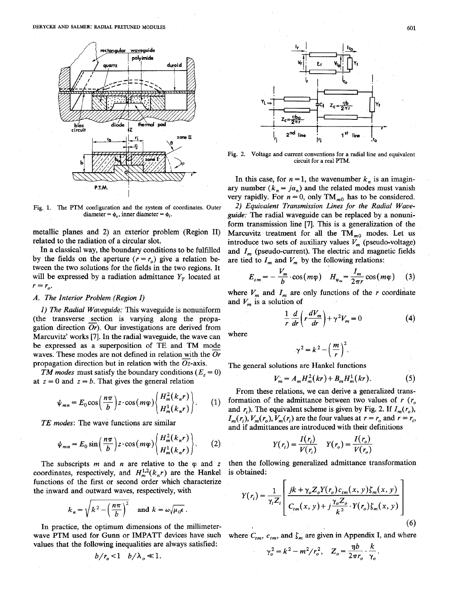DERYCKE AND SALMER: RADIAL PRETUNED MODULES 601



Fig. 1. The PTM configuration and the system of coordinates. Outer diameter =  $\phi$ , inner diameter =  $\phi$ .

metallic planes and 2) an exterior problem (Region II) related to the radiation of a circular slot.

In a classical way, the boundary conditions to be fulfilled by the fields on the aperture  $(r = r_0)$  give a relation between the two solutions for the fields in the two regions. It will be expressed by a radiation admittance  $Y_T$  located at  $r = r_{o}$ .

#### A. The Interior Problem (Region I)

1) The Radial Waveguide: This waveguide is nonuniform (the transverse section is varying along the propagation direction  $Or$ ). Our investigations are derived from Marcuvitz' works [7]. In the radial waveguide, the wave can be expressed as a superposition of TE and TM mode waves. These modes are not defined in relation with the  $Or$ propagation direction but in relation with the  $Oz$ -axis.

TM modes must satisfy the boundary conditions ( $E_z = 0$ ) at  $z = 0$  and  $z = b$ . That gives the general relation

$$
\psi_{mn} = E_0 \cos\left(\frac{n\pi}{b}\right) z \cdot \cos(m\varphi) \left\{\frac{H_m^2(k_n r)}{H_m^1(k_n r)}\right\}.
$$
 (1)

TE modes: The wave functions are similar

$$
\psi_{mn} = E_0 \sin\left(\frac{n\pi}{b}\right) z \cdot \cos(m\varphi) \begin{Bmatrix} H_m^2(k_n r) \\ H_m^1(k_n r) \end{Bmatrix} . \tag{2}
$$

The subscripts  $m$  and  $n$  are relative to the  $\varphi$  and z coordinates, respectively, and  $H_m^{1,2}(k_n r)$  are the Hankel functions of the first or second order which characterize the inward and outward waves, respectively, with

$$
k_n = \sqrt{k^2 - \left(\frac{n\pi}{b}\right)^2}
$$
 and  $k = \omega\sqrt{\mu_0 \epsilon}$ 

In practice, the optimum dimensions of the millimeterwave PTM used for Gunn or IMPATT devices have such values that the following inequalities are always satisfied:

$$
b/r_o < 1 \quad b/\lambda_o \ll 1
$$



Fig. 2. Voltage and current conventions for a radial line and equivalent circuit for a real PTM.

In this case, for  $n = 1$ , the wavenumber  $k_n$  is an imaginary number  $(k_n = j\alpha_n)$  and the related modes must vanish very rapidly. For  $n = 0$ , only TM<sub>m0</sub> has to be considered.

2) Equivalent Transmission Lines for the Radial Waveguide: The radial waveguide can be replaced by a nonuniform transmission line [7]. This is a generalization of the Marcuvitz treatment for all the  $TM_{m0}$  modes. Let us introduce two sets of auxiliary values  $V<sub>m</sub>$  (pseudo-voltage) and  $I_m$  (pseudo-current). The electric and magnetic fields are tied to  $I_m$  and  $V_m$  by the following relations:

$$
E_{zm} = -\frac{V_m}{b} \cdot \cos(m\varphi) \quad H_{\varphi_m} = \frac{I_m}{2\pi r} \cos(m\varphi) \quad (3)
$$

where  $V_m$  and  $I_m$  are only functions of the r coordinate and  $V_m$  is a solution of

$$
\frac{1}{r}\frac{d}{dr}\left(r\frac{dV_m}{dr}\right) + \gamma^2 V_m = 0\tag{4}
$$

where

$$
\gamma^2 = k^2 - \left(\frac{m}{r}\right)^2.
$$

The general solutions are Hankel functions

$$
V_m = A_m H_m^2(kr) + B_m H_m^1(kr).
$$
 (5)

From these relations, we can derive a generalized transformation of the admittance between two values of  $r(r<sub>o</sub>)$ and  $r_i$ ). The equivalent scheme is given by Fig. 2. If  $I_m(r_o)$ ,  $I_m(r_i)$ ,  $V_m(r_o)$ ,  $V_m(r_i)$  are the four values at  $r = r_o$  and  $r = r_i$ , and if admittances are introduced with their definitions

$$
Y(r_i) = \frac{I(r_i)}{V(r_i)} \qquad Y(r_o) = \frac{I(r_o)}{V(r_o)}
$$

then the following generalized admittance transformation is obtained:

$$
Y(r_i) = \frac{1}{\gamma_i Z_i} \left[ \frac{jk + \gamma_o Z_o Y(r_o) c_{im}(x, y) \zeta_m(x, y)}{C_{im}(x, y) + j \frac{\gamma_o Z_o}{k^2} \cdot Y(r_o) \zeta_m(x, y)} \right]
$$
(6)

where  $C_{tm}$ ,  $c_{tm}$ , and  $\zeta_m$  are given in Appendix I, and where

$$
\gamma_o^2 = k^2 - m^2/r_o^2, \quad Z_o = \frac{\eta b}{2\pi r_o} \cdot \frac{k}{\gamma_o}
$$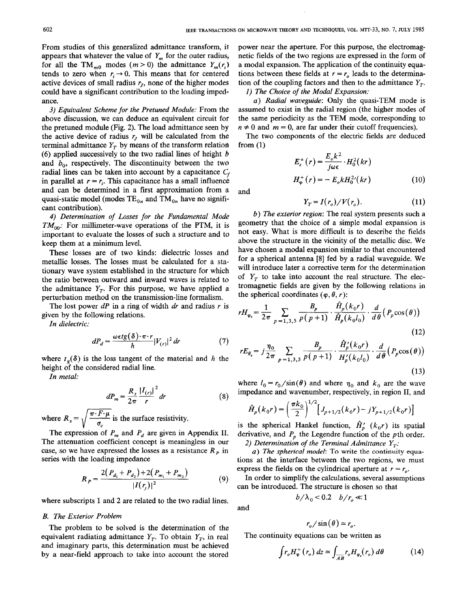From studies of this generalized admittance transform, it appears that whatever the value of  $Y_m$  for the outer radius, for all the TM<sub>m0</sub> modes  $(m>0)$  the admittance  $Y_m(r)$ tends to zero when  $r_i \rightarrow 0$ . This means that for centered active devices of small radius  $r<sub>I</sub>$ , none of the higher modes could have a significant contribution to the loading impedance.

3) Equivalent Scheme for the Pretuned Module: From the above discussion, we can deduce an equivalent circuit for the pretuned module (Fig. 2). The load admittance seen by the active device of radius  $r<sub>J</sub>$  will be calculated from the terminal admittance  $Y_T$  by means of the transform relation (6) applied successively to the two radial lines of height  $\mathbf{b}$ and  $b_0$ , respectively. The discontinuity between the two radial lines can be taken into account by a capacitance  $C_f$ in parallel at  $r = r_i$ . This capacitance has a small influence and can be determined in a first approximation from a quasi-static model (modes  $TE_{0n}$  and  $TM_{0n}$  have no significant contribution).

4) Determination of Losses for the Fundamental Mode  $TM_{00}$ : For millimeter-wave operations of the PTM, it is important to evaluate the losses of such a structure and to keep them at a minimum level.

These losses are of two kinds: dielectric losses and metallic losses. The losses must be calculated for a stationary wave system established in the structure for which the ratio between outward and inward waves is related to the admittance  $Y_T$ . For this purpose, we have applied a perturbation method on the transmission-line formalism.

The lost power  $dP$  in a ring of width dr and radius r is given by the following relations.

In dielectric:

$$
dP_d = \frac{\omega \epsilon t g(\delta) \cdot \pi \cdot r}{h} |V_{(r)}|^2 dr \tag{7}
$$

where  $t_{\epsilon}(\delta)$  is the loss tangent of the material and h the height of the considered radial line.

In metal:

$$
dP_m = \frac{R_s}{2\pi} \frac{|I_{(r)}|^2}{r} dr \tag{8}
$$

 $\sqrt{\frac{\pi}{2}}$ <br>ssio where  $R_s = \sqrt{\frac{\pi \cdot F \cdot \mu}{\sigma_c}}$  is the surface resistivity.

The expression of  $P_m$  and  $P_d$  are given in Appendix II. The attenuation coefficient concept is meaningless in our case, so we have expressed the losses as a resistance  $R<sub>p</sub>$  in series with the loading impedance

$$
R_P = \frac{2(P_{d_1} + P_{d_2}) + 2(P_{m_1} + P_{m_2})}{|I(r_i)|^2} \tag{9}
$$

where subscripts 1 and 2 are related to the two radial lines.

#### B. The Exterior Problem

The problem to be solved is the determination of the equivalent radiating admittance  $Y_T$ . To obtain  $Y_T$ , in real and imaginary parts, this determination must be achieved by a near-field approach to take into account the stored

power near the aperture. For this purpose, the electromagnetic fields of the two regions are expressed in the form of a modal expansion. The application of the continuity equations between these fields at  $r = r_0$  leads to the determination of the coupling factors and then to the admittance  $Y<sub>r</sub>$ .

1) The Choice of the Modal Expansion:

a) Radial waveguide: Only the quasi-TEM mode is assumed to exist in the radial region (the higher modes of the same periodicity as the TEM mode, corresponding to  $n \neq 0$  and  $m = 0$ , are far under their cutoff frequencies).

The two components of the electric fields are deduced from (1)

$$
E_z^+(r) = \frac{E_o k^2}{j\omega\epsilon} \cdot H_0^2(kr)
$$
  

$$
H_{\varphi}^+(r) = -E_o k H_0^2'(kr)
$$
 (10)

and

$$
Y_T = I(r_o) / V(r_o). \tag{11}
$$

b) The exterior region: The real system presents such a geometry that the choice of a simple modal expansion is not easy. What is more difficult is to describe the fields above the structure in the vicinity of the metallic disc. We have chosen a modal expansion similar to that encountered for a spherical antenna [8] fed by a radial waveguide. We will introduce later a corrective term for the determination of  $Y_T$  to take into account the real structure. The electromagnetic fields are given by the following relations in the spherical coordinates  $(\varphi, \theta, r)$ :

$$
rH_{\varphi_e} = \frac{1}{2\pi} \sum_{p=1,3,5} \frac{B_p}{p(p+1)} \cdot \frac{H_p(k_0 r)}{\hat{H}_p(k_0 l_0)} \cdot \frac{d}{d\theta} (P_p \cos(\theta))
$$
\n(12)

$$
rE_{\theta_e} = j\frac{\eta_0}{2\pi} \sum_{p=1,3,5} \frac{B_p}{p(p+1)} \cdot \frac{\hat{H}_p'(k_0 r)}{H_p'(k_0 l_0)} \cdot \frac{d}{d\theta} (P_p \cos(\theta))
$$
\n(13)

where  $l_0 = r_0 / \sin(\theta)$  and where  $\eta_0$  and  $k_0$  are the wave impedance and wavenumber, respectively, in region II, and

$$
\hat{H}_p(k_0r) = \left(\frac{\pi k_0}{2}\right)^{1/2} \left[J_{p+1/2}(k_0r) - jY_{p+1/2}(k_0r)\right]
$$

is the spherical Hankel function,  $H'_{p}(k_0r)$  its spatial derivative, and  $P_p$  the Legendre function of the pth order. 2) Determination of the Terminal Admittance  $Y_T$ :

a) The spherical model: To write the continuity equations at the interface between the two regions, we must express the fields on the cylindrical aperture at  $r = r<sub>o</sub>$ .

In order to simplify the calculations, several assumptions can be introduced. The structure is chosen so that

 $b/\lambda_0 < 0.2 \quad b/r_c \ll 1$ 

and

$$
r_o/\sin(\theta) \simeq r_o.
$$

The continuity equations can be written as

$$
\int r_o H_{\varphi}^+(r_o) \, dz \simeq \int_{\overline{AB}} r_o H_{\varphi_e}(r_o) \, d\theta \tag{14}
$$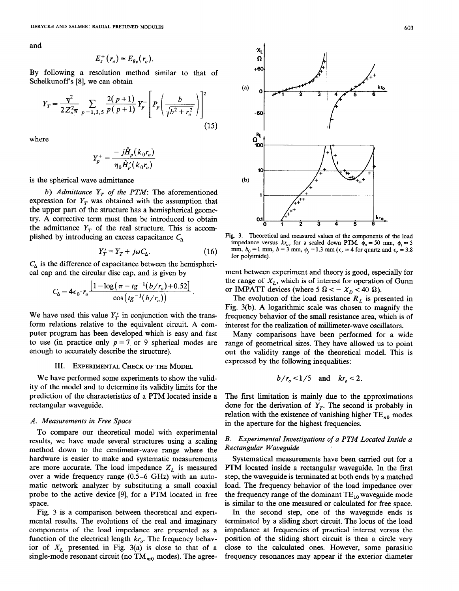and

$$
E_z^+(r_o) \simeq E_{\theta e}(r_o).
$$

By following a resolution method similar to that of Schelkunoff's [8], we can obtain

$$
Y_T = \frac{\eta^2}{2Z_{oT}^2} \sum_{p=1,3,5} \frac{2(p+1)}{p(p+1)} Y_p^+ \left[ P_p \left( \frac{b}{\sqrt{b^2 + r_o^2}} \right) \right]^2
$$
\n(15)

where

$$
Y_p^+ = \frac{-j\hat{H}_p(k_0r_o)}{\eta_0\hat{H}_p'(k_0r_o)}
$$

is the spherical wave admittance

b) Admittance  $Y_T$  of the PTM: The aforementioned expression for  $Y_T$  was obtained with the assumption that the upper part of the structure has a hemispherical geometry. A corrective term must then be introduced to obtain the admittance  $Y_T$  of the real structure. This is accomplished by introducing an excess capacitance  $C_{\Lambda}$ 

$$
Y'_T = Y_T + j\omega C_\Delta. \tag{16}
$$

 $C_{\Delta}$  is the difference of capacitance between the hemispherical cap and the circular disc cap, and is given by

$$
C_{\Delta} = 4\epsilon_0 \cdot r_o \frac{\left[1 - \log\left(\pi - t g^{-1} (b/r_o) + 0.52\right]\right]}{\cos\left(t g^{-1} (b/r_o)\right)}.
$$

We have used this value  $Y'_T$  in conjunction with the transform relations relative to the equivalent circuit. A computer program has been developed which is easy and fast to use (in practice only  $p = 7$  or 9 spherical modes are enough to accurately describe the structure).

#### III. EXPERIMENTAL CHECK OF THE MODEL

We have performed some experiments to show the validity of the model and to determine its validity limits for the prediction of the characteristics of a PTM located inside a rectangular waveguide.

#### A. Measurements in Free Space

To compare our theoretical model with experimental results, we have made several structures using a scaling method down to the centimeter-wave range where the hardware is easier to make and systematic measurements are more accurate. The load impedance  $Z_L$  is measured over a wide frequency range (0.5 –6 GHz) with an automatic network analyzer by substituting a small coaxial probe to the active device [9], for a PTM located in free space.

Fig. 3 is a comparison between theoretical and experimental results. The evolutions of the real and imaginary components of the load impedance are presented as a function of the electrical length  $kr_{o}$ . The frequency behavior of  $X_L$  presented in Fig. 3(a) is close to that of a single-mode resonant circuit (no  $TM_{m0}$  modes). The agree-



Fig. 3. Theoretical and measured values of the components of the load impedance versus  $kr_o$ , for a scaled down PTM.  $\dot{\phi}_o = 50$  mm,  $\phi_i = 5$ mm,  $b_0 = 1$  mm,  $b = 3$  mm,  $\phi_i = 1.3$  mm ( $\epsilon_r = 4$  for quartz and  $\epsilon_r = 3.8$ for polyimide).

ment between experiment and theory is good, especially for the range of  $X_I$ , which is of interest for operation of Gunn or IMPATT devices (where 5  $\Omega < -X_D < 40 \Omega$ ).

The evolution of the load resistance  $R_L$  is presented in Fig. 3(b). A logarithmic scale was chosen to magnify the frequency behavior of the small resistance area, which is of interest for the realization of millimeter-wave oscillators.

Many comparisons have been performed for a wide range of geometrical sizes. They have allowed us to point out the validity range of the theoretical model. This is expressed by the following inequalities:

$$
b/r_{o} < 1/5
$$
 and  $kr_{o} < 2$ .

The first limitation is mainly due to the approximations done for the derivation of  $Y_T$ . The second is probably in relation with the existence of vanishing higher  $TE_{n0}$  modes in the aperture for the highest frequencies.

## B. Experimental Investigations of a PTM Located Inside a Rectangular Waueguide

Systematical measurements have been carried out for a PTM located inside a rectangular waveguide. In the first step, the waveguide is terminated at both ends by a matched load. The frequency behavior of the load impedance over the frequency range of the dominant  $TE_{10}$  waveguide mode is similar to the one measured or calculated for free space.

In the second step, one of the waveguide ends is terminated by a sliding short circuit. The locus of the load impedance at frequencies of practical interest versus the position of the sliding short circuit is then a circle very close to the calculated ones. However, some parasitic frequency resonances may appear if the exterior diameter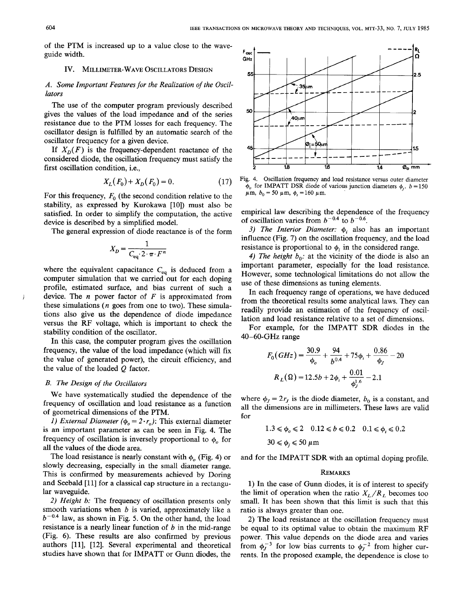of the PTM is increased up to a value close to the waveguide width.

#### IV. MILLIMETER-WAVE OSCILLATORS DESIGN

## A. Some Important Features for the Realization of the Oscillators

The use of the computer program previously described gives the values of the load impedance and of the series resistance due to the PTM losses for each frequency. The oscillator design is fulfilled by an automatic search of the oscillator frequency for a given device.

If  $X_D(F)$  is the frequency-dependent reactance of the considered diode, the oscillation frequency must satisfy the first oscillation condition, i.e.,

$$
X_L(F_0) + X_D(F_0) = 0. \tag{17}
$$

For this frequency,  $F_0$  (the second condition relative to the stability, as expressed by Kurokawa [10]) must also be satisfied. In order to simplify the computation, the active device is described by a simplified model.

The general expression of diode reactance is of the form

$$
X_D = \frac{1}{C_{\text{eq}} \cdot 2 \cdot \pi \cdot F^n}
$$

where the equivalent capacitance  $C_{eq}$  is deduced from a computer simulation that we carried out for each doping profile, estimated surface, and bias current of such a device. The  $n$  power factor of  $F$  is approximated from these simulations ( $n$  goes from one to two). These simulations also give us the dependence of diode impedance versus the RF voltage, which is important to check the stability condition of the oscillator.

In this case, the computer program gives the oscillation frequency, the value of the load impedance (which will fix the value of generated power), the circuit efficiency, and the value of the loaded Q factor.

## B. The Design of the Oscillators

We have systematically studied the dependence of the frequency of oscillation and load resistance as a function of geometrical dimensions of the PTM,

1) External Diameter ( $\phi_o = 2 \cdot r_o$ ): This external diameter is an important parameter as can be seen in Fig. 4. The frequency of oscillation is inversely proportional to  $\phi_o$  for all the values of the diode area.

The load resistance is nearly constant with  $\phi$ <sub>o</sub> (Fig. 4) or slowly decreasing, especially in the small diameter range. This is confirmed by measurements achieved by Doring and Seebald [11] for a classical cap structure in a rectangular waveguide.

2) Height b: The frequency of oscillation presents only smooth variations when  $b$  is varied, approximately like a  $b^{-0.4}$  law, as shown in Fig. 5. On the other hand, the load resistance is a nearly linear function of  $b$  in the mid-range (Fig. 6). These results are also confirmed by previous authors [11], [12]. Several experimental and theoretical studies have shown that for IMPATT or Gunn diodes, the



Fig. 4. Oscillation frequency and load resistance versus outer diameter  $\phi_o$  for IMPATT DSR diode of various junction diameters  $\phi_i$ .  $b = 150$  $\mu$ m,  $b_0 = 50 \mu$ m,  $\phi_i = 160 \mu$ m.

empirical law describing the dependence of the frequency of oscillation varies from  $b^{-0.4}$  to  $b^{-0.6}$ .

3) The Interior Diameter:  $\phi_i$  also has an important influence (Fig. 7) on the oscillation frequency, and the load resistance is proportional to  $\phi_i$  in the considered range.

4) The height  $b_0$ : at the vicinity of the diode is also an important parameter, especially for the load resistance. However, some technological limitations do not allow the use of these dimensions as tuning elements.

In each frequency range of operations, we have deduced from the theoretical results some analytical laws. They can readily provide an estimation of the frequency of oscillation and load resistance relative to a set of dimensions.

For example, for the IMPATT SDR diodes in the 40–60-GHz range

$$
F_0(GHz) = \frac{30.9}{\phi_o} + \frac{94}{b^{0.4}} + 75\phi_i + \frac{0.86}{\phi_f} - 20
$$
  

$$
R_L(\Omega) = 12.5b + 2\phi_i + \frac{0.01}{\phi_f^{1.6}} - 2.1
$$

where  $\phi_J = 2r_J$  is the diode diameter,  $b_0$  is a constant, and all the dimensions are in millimeters. These laws are valid for

$$
1.3 \le \phi_o \le 2 \quad 0.12 \le b \le 0.2 \quad 0.1 \le \phi_i \le 0.2
$$
  

$$
30 \le \phi_j \le 50 \text{ }\mu\text{m}
$$

and for the IMPATT SDR with an optimal doping profile.

#### REMARKS

1) In the case of Gunn diodes, it is of interest to specify the limit of operation when the ratio  $X_L/R_L$  becomes too small. It has been shown that this limit is such that this ratio is always greater than one.

2) The load resistance at the oscillation frequency must be equal to its optimal value to obtain the maximum RF power. This value depends on the diode area and varies from  $\phi_J^{-3}$  for low bias currents to  $\phi_J^{-2}$  from higher currents. In the proposed example, the dependence is close to

j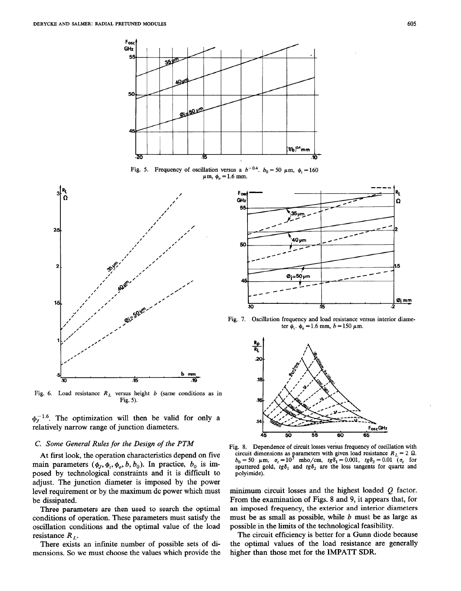

Fig. 5. Frequency of oscillation versus a  $b^{-0.4}$ ,  $b_0 = 50 \mu \text{m}$ ,  $\phi_1 = 160$  $\mu$ m,  $\phi$ <sub>o</sub> = 1.6 mm.



Fig. 6. Load resistance  $R<sub>L</sub>$  versus height b (same conditions as in Fig. 5).

 $\phi_r^{-1.6}$ . The optimization will then be valid for only a relatively narrow range of junction diameters.

### C. Some General Rules for the Design of the PTM

At first look, the operation characteristics depend on five main parameters  $(\phi_J, \phi_i, \phi_o, b, b_0)$ . In practice,  $b_0$  is imposed by technological constraints and it is difficult to adjust. The junction diameter is imposed by the power level requirement or by the maximum dc power which must be dissipated.

Three parameters are then used to search the optimal conditions of operation. These parameters must satisfy the oscillation conditions and the optimal value of the load resistance  $R_L$ .

There exists an infinite number of possible sets of dimensions. So we must choose the values which provide the



Fig. 7. Oscillation frequency and load resistance versus interior diameter  $\phi_i$ .  $\phi_o = 1.6$  mm,  $b = 150 \mu$ m.



Fig. 8. Dependence of circuit losses versus frequency of oscillation with circuit dimensions as parameters with given load resistance  $R_L = 2$  M.<br>  $b_0 = 50$   $\mu$ m,  $\sigma_c = 10^7$  mho/cm, tg $\delta_1 = 0.001$ , tg $\delta_2 = 0.01$  ( $\sigma_c$  for sputtered gold,  $tg\delta_1$  and  $tg\delta_2$  are the loss tangents for quartz and polvimide).

minimum circuit losses and the highest loaded Q factor. From the examination of Figs. 8 and 9, it appears that, for an imposed frequency, the exterior and interior diameters must be as small as possible, while  $b$  must be as large as possible in the limits of the technological feasibility.

The circuit efficiency is better for a Gunn diode because the optimal values of the load resistance are generally higher than those met for the IMPATT SDR.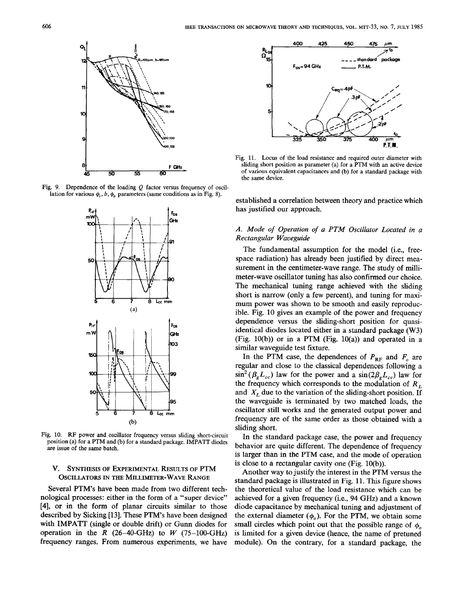

Fig. 9. Dependence of the loading Q factor versus frequency of oscillation for various  $\phi_i$ ,  $b$ ,  $\phi_o$  parameters (same conditions as in Fig. 8).



Fig. 10. RF power and oscillator frequency versus sliding short-circuit position (a) for a PTM and (b) for a standard package. IMPATT diodes are issue of the same batch.

## V. SYNTHESIS OF EXPERIMENTAL RESULTS OF PTM OSCILLATORS IN THE MILLIMETER-WAVE RANGE

Several PTM's have been made from two different technological processes: either in the form of a "super device" [4], or in the form of planar circuits similar to those described by Sicking [13]. These PTM's have been designed with IMPATT (single or double drift) or Gunn diodes for operation in the R  $(26-40\text{-}GHz)$  to W  $(75-100\text{-}GHz)$ frequency ranges. From numerous experiments, we have



Fig. 11. Locus of the load resistance and required outer diameter with sliding short position as parameter (a) for a PTM with an active device of various equivalent capacitances and (b) for a standard package with the same device.

established a correlation between theory and practice which has justified our approach.

## A. Mode of Operation of a PTM Oscillator Located in a Rectangular Waveguide

The fundamental assumption for the model (i.e., freespace radiation) has already been justified by direct measurement in the centimeter-wave range. The study of millimeter-wave oscillator tuning has also confirmed our choice. The mechanical tuning range achieved with the sliding short is narrow (only a few percent), and tuning for maximum power was shown to be smooth and easily reproducible. Fig. 10 gives an example of the power and frequency dependence versus the sliding-short position for quasiidentical diodes located either in a standard package (W3) (Fig. 10(b)) or in a PTM (Fig. 10(a)) and operated in a similar waveguide test fixture.

In the PTM case, the dependences of  $P_{RF}$  and  $F_{o}$  are regular and close to the classical dependences following a  $\sin^2(\beta_g L_{cc})$  law for the power and a  $\sin(2\beta_g L_{cc})$  law for the frequency which corresponds to the modulation of  $R_L$ and  $X_L$  due to the variation of the sliding-short position. If the waveguide is terminated by two matched loads, the oscillator still works and the generated output power and frequency are of the same order as those obtained with a sliding short.

In the standard package case, the power and frequency behavior are quite different. The dependence of frequency is larger than in the PTM case, and the mode of operation is close to a rectangular cavity one (Fig. 10(b)).

Another way to justify the interest in the PTM versus the standard package is illustrated in Fig. 11. This figure shows the theoretical value of the load resistance which can be achieved for a given frequency (i.e., 94 GHz) and a known diode capacitance by mechanical tuning and adjustment of the external diameter  $(\phi_o)$ . For the PTM, we obtain some small circles which point out that the possible range of  $\phi$ is limited for a given device (hence, the name of pretuned module). On the contrary, for a standard package, the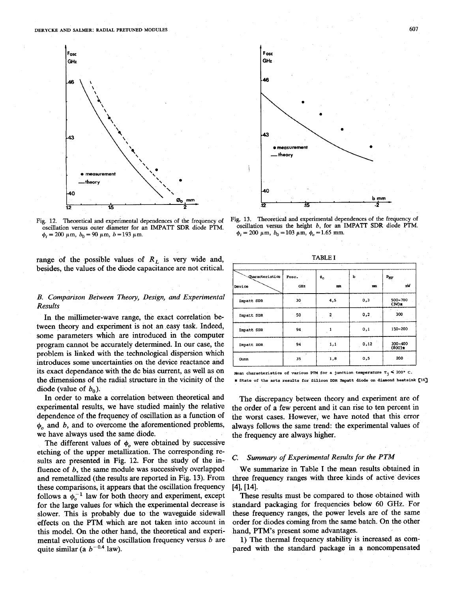

Fig. 12. Theoretical and experimental dependences of the frequency of oscillation versus outer diameter for an IMPAIT SDR diode PTM.  $\phi_i = 200 \ \mu \text{m}, b_0 = 90 \ \mu \text{m}, b = 193 \ \mu \text{m}.$ 

range of the possible values of  $R_L$  is very wide and, besides, the values of the diode capacitance are not critical.

## B. Comparison Between Theory, Design, and Experimental Results

In the millimeter-wave range, the exact correlation between theory and experiment is not an easy task. Indeed, some parameters which are introduced in the computer program cannot be accurately determined. In our case, the problem is linked with the technological dispersion which introduces some uncertainties on the device reactance and its exact dependance with the dc bias current, as well as on the dimensions of the radial structure in the vicinity of the diode (value of  $b_0$ ).

In order to make a correlation between theoretical and experimental results, we have studied mainly the relative dependence of the frequency of oscillation as a function of  $\phi$  and b, and to overcome the aforementioned problems, we have always used the same diode.

The different values of  $\phi$  were obtained by successive etching of the upper metallization. The corresponding results are presented in Fig. 12. For the study of the influence of  $b$ , the same module was successively overlapped and remetallized (the results are reported in Fig. 13). From these comparisons, it appears that the oscillation frequency follows a  $\phi_o^{-1}$  law for both theory and experiment, except for the large values for which the experimental decrease is slower. This is probably due to the waveguide sidewall effects on the PTM which are not taken into account in this model. On the other hand, the theoretical and experimental evolutions of the oscillation frequency versus  $b$  are quite similar (a  $b^{-0.4}$  law).



Fig. 13. Theoretical and experimental dependences of the frequency of oscillation versus the height b, for an IMPATT SDR diode PTM.  $\phi_i = 200 \mu \text{m}, b_0 = 103 \mu \text{m}, \phi_o = 1.65 \text{ mm}.$ 

TABLE I

| <b>Characteristics</b><br>b<br>Fosc.<br>$P_{HF}$<br>$\ast_{\circ}$<br>nM<br>mm<br>GHz<br>mm<br>0,3<br>500-700<br>4,5<br>30<br>Impatt SDR<br>$(3W)$ x<br>$\overline{\mathbf{c}}$<br>300<br>0,2<br>50<br>Impatt SDR<br>150-200<br>0,1<br>94.<br>Impatt SDR<br>0,12<br>300-400<br>1,1<br>94<br>Impatt DDR<br>$(800)$ <sub>2</sub><br>200<br>0,5<br>1,8<br>35<br>Gunn |        |  |  |  |  |
|-------------------------------------------------------------------------------------------------------------------------------------------------------------------------------------------------------------------------------------------------------------------------------------------------------------------------------------------------------------------|--------|--|--|--|--|
|                                                                                                                                                                                                                                                                                                                                                                   |        |  |  |  |  |
|                                                                                                                                                                                                                                                                                                                                                                   | Device |  |  |  |  |
|                                                                                                                                                                                                                                                                                                                                                                   |        |  |  |  |  |
|                                                                                                                                                                                                                                                                                                                                                                   |        |  |  |  |  |
|                                                                                                                                                                                                                                                                                                                                                                   |        |  |  |  |  |
|                                                                                                                                                                                                                                                                                                                                                                   |        |  |  |  |  |
|                                                                                                                                                                                                                                                                                                                                                                   |        |  |  |  |  |

**Mean characteristics of various PTM for a junction temperature**  $T_j \leq 200^\circ$  **C.** \* State of the arts results for Silicon DDR Impatt diode on diamond heatsink [16]

The discrepancy between theory and experiment are of the order of a few percent and it can rise to ten percent in the worst cases. However, we have noted that this error always follows the same trend: the experimental values of the frequency are always higher.

## C. Summmy of Experimental Results for the PTM

We summarize in Table I the mean results obtained in three frequency ranges with three kinds of active devices [4], [14].

These results must be compared to those obtained with standard packaging for frequencies below 60 GHz. For these frequency ranges, the power levels are of the same order for diodes coming from the same batch. On the other hand, PTM's present some advantages.

1) The thermal frequency stability is increased. as compared with the standard package in a noncompensated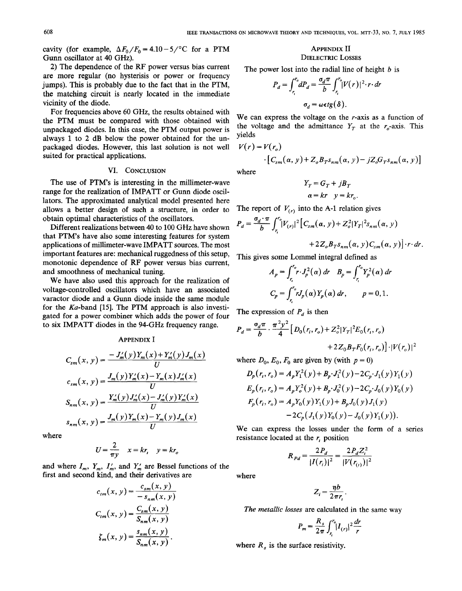cavity (for example,  $\Delta F_0/F_0 = 4.10 - 5$ )<sup>o</sup>C for a PTM Gunn oscillator at 40 GHz).

2) The dependence of the RF power versus bias current are more regular (no hysterisis or power or frequency jumps). This is probably due to the fact that in the PTM, the matching circuit is nearly located in the immediate vicinity of the diode.

For frequencies above 60 GHz, the results obtained with the PTM must be compared with those obtained with unpackaged diodes. In this case, the PTM output power is always 1 to 2 dB below the power obtained for the unpackaged diodes. However, this last solution is not well suited for practical applications.

#### VI. CONCLUSION

The use of PTM's is interesting in the millimeter-wave range for the realization of IMPATT or Gunn diode oscillators. The approximated analytical model presented here allows a better design of such a structure, in order to obtain optimal characteristics of the oscillators.

Different realizations between 40 to 100 GHz have shown that PTM's have also some interesting features for system applications of millimeter-wave IMPATT sources. The most important features are: mechanical ruggedness of this setup, monotonic dependence of RF power versus bias current, and smoothness of mechanical tuning.

We have also used this approach for the realization of voltage-controlled oscillators which have an associated varactor diode and a Gunn diode inside the same module for the  $Ka$ -band [15]. The PTM approach is also investigated for a power combiner which adds the power of four to six IMPATT diodes in the 94-GHz frequency range.

#### APPENDIX I

$$
C_{sm}(x, y) = \frac{-J'_m(y)Y_m(x) + Y'_m(y)J_m(x)}{U}
$$
  
\n
$$
C_{sm}(x, y) = \frac{J_m(y)Y'_m(x) - Y_m(x)J'_m(x)}{U}
$$
  
\n
$$
S_{nm}(x, y) = \frac{Y'_m(y)J'_m(x) - J'_m(y)Y'_m(x)}{U}
$$
  
\n
$$
S_{nm}(x, y) = \frac{J_m(y)Y_m(x) - Y_m(y)J_m(x)}{U}
$$

$$
U = \frac{2}{\pi y} \quad x = kr, \quad y = kr_o
$$

and where  $I_m$ ,  $Y_m$ ,  $I'_m$ , and  $Y'_m$  are Bessel functions of the first and second kind, and their derivatives are where

$$
c_{tm}(x, y) = \frac{c_{sm}(x, y)}{-s_{nm}(x, y)}
$$

$$
C_{tm}(x, y) = \frac{C_{sm}(x, y)}{S_{nm}(x, y)}
$$

$$
\zeta_m(x, y) = \frac{s_{nm}(x, y)}{S_{nm}(x, y)}.
$$

#### APPENDIX II DIELECTRIC LOSSES

The power lost into the radial line of height  $b$  is

$$
P_d = \int_{r_i}^{r_o} dP_d = \frac{\sigma_d \pi}{b} \int_{r_i}^{r_o} |V(r)|^2 \cdot r \cdot dr
$$

$$
\sigma_d = \omega \epsilon t g(\delta).
$$

We can express the voltage on the  $r$ -axis as a function of the voltage and the admittance  $Y_T$  at the  $r_o$ -axis. This yields

$$
V(r) = V(r_o)
$$
  
 
$$
\cdot [C_{sm}(\alpha, y) + Z_o B_T s_{nm}(\alpha, y) - jZ_o G_T s_{nm}(\alpha, y)]
$$
  
where

where

$$
Y_T = G_T + jB_T
$$
  

$$
\alpha = kr \quad y = kr_a
$$

The report of  $V_{(r)}$  into the A-1 relation gives

$$
P_d = \frac{\sigma_d \cdot \pi}{b} \int_{r_i}^{r_0} |V_{(r)}|^2 \Big[ C_{sm}(\alpha, y) + Z_o^2 |Y_T|^2 s_{nm}(\alpha, y) + 2Z_o B_T s_{nm}(\alpha, y) C_{sm}(\alpha, y) \Big] \cdot r \cdot dr
$$

This gives some Lommel integral defined as

$$
A_p = \int_{r_i}^{r_o} r \cdot J_p^2(\alpha) \, dr \quad B_p = \int_{r_i}^{r_o} Y_p^2(\alpha) \, dr
$$
  

$$
C_p = \int_{r_i}^{r_o} r J_p(\alpha) Y_p(\alpha) \, dr, \qquad p = 0, 1.
$$

The expression of  $P_d$  is then

$$
P_d = \frac{\sigma_d \pi}{b} \cdot \frac{\pi^2 y^2}{4} \Big[ D_0(r_i, r_o) + Z_o^2 |Y_T|^2 E_0(r_i, r_o) + 2Z_0 B_T F_0(r_i, r_o) \Big] \cdot |V(r_o)|^2
$$

where  $D_0$ ,  $E_0$ ,  $F_0$  are given by (with  $p = 0$ )

$$
D_p(r_i, r_o) = A_p Y_1^2(y) + B_p \cdot J_1^2(y) - 2C_p \cdot J_1(y) Y_1(y)
$$
  
\n
$$
E_p(r_i, r_o) = A_p Y_o^2(y) + B_p \cdot J_0^2(y) - 2C_p \cdot J_0(y) Y_0(y)
$$
  
\n
$$
F_p(r_i, r_o) = A_p Y_0(y) Y_1(y) + B_p J_0(y) J_1(y)
$$
  
\n
$$
-2C_p (J_1(y) Y_0(y) - J_0(y) Y_1(y)).
$$

We can express the losses under the form of a series where resistance located at the  $r_i$  position

$$
R_{Pd} = \frac{2P_d}{|I(r_i)|^2} = \frac{2P_d Z_i^2}{|V(r_{(i)})|^2}
$$

$$
Z_i = \frac{\eta b}{2\pi r_i}
$$

The metallic losses are calculated in the same way

$$
P_m = \frac{R_s}{2\pi} \int_{r_i}^{r_o} |I_{(r)}|^2 \frac{dr}{r}
$$

where  $R<sub>s</sub>$  is the surface resistivity.